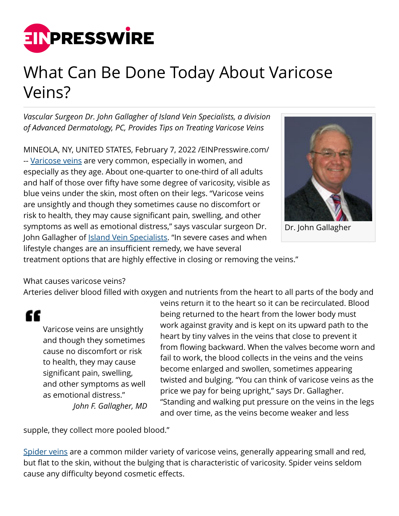

## What Can Be Done Today About Varicose Veins?

*Vascular Surgeon Dr. John Gallagher of Island Vein Specialists, a division of Advanced Dermatology, PC, Provides Tips on Treating Varicose Veins*

MINEOLA, NY, UNITED STATES, February 7, 2022 /[EINPresswire.com/](http://www.einpresswire.com) -- [Varicose veins](https://www.islandveinspecialists.com/endovenous-laser-ablation/) are very common, especially in women, and especially as they age. About one-quarter to one-third of all adults and half of those over fifty have some degree of varicosity, visible as blue veins under the skin, most often on their legs. "Varicose veins are unsightly and though they sometimes cause no discomfort or risk to health, they may cause significant pain, swelling, and other symptoms as well as emotional distress," says vascular surgeon Dr. John Gallagher of **Island Vein Specialists**. "In severe cases and when lifestyle changes are an insufficient remedy, we have several



Dr. John Gallagher

treatment options that are highly effective in closing or removing the veins."

What causes varicose veins?

Arteries deliver blood filled with oxygen and nutrients from the heart to all parts of the body and

"

Varicose veins are unsightly and though they sometimes cause no discomfort or risk to health, they may cause significant pain, swelling, and other symptoms as well as emotional distress." *John F. Gallagher, MD* veins return it to the heart so it can be recirculated. Blood being returned to the heart from the lower body must work against gravity and is kept on its upward path to the heart by tiny valves in the veins that close to prevent it from flowing backward. When the valves become worn and fail to work, the blood collects in the veins and the veins become enlarged and swollen, sometimes appearing twisted and bulging. "You can think of varicose veins as the price we pay for being upright," says Dr. Gallagher. "Standing and walking put pressure on the veins in the legs and over time, as the veins become weaker and less

supple, they collect more pooled blood."

[Spider veins](https://www.islandveinspecialists.com/services/spider-vein-treatment/spider-vein-removal-faq/) are a common milder variety of varicose veins, generally appearing small and red, but flat to the skin, without the bulging that is characteristic of varicosity. Spider veins seldom cause any difficulty beyond cosmetic effects.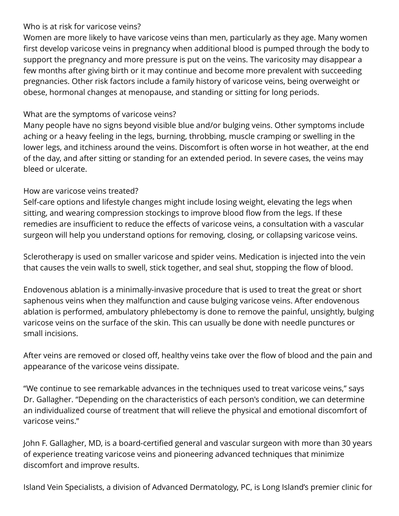## Who is at risk for varicose veins?

Women are more likely to have varicose veins than men, particularly as they age. Many women first develop varicose veins in pregnancy when additional blood is pumped through the body to support the pregnancy and more pressure is put on the veins. The varicosity may disappear a few months after giving birth or it may continue and become more prevalent with succeeding pregnancies. Other risk factors include a family history of varicose veins, being overweight or obese, hormonal changes at menopause, and standing or sitting for long periods.

## What are the symptoms of varicose veins?

Many people have no signs beyond visible blue and/or bulging veins. Other symptoms include aching or a heavy feeling in the legs, burning, throbbing, muscle cramping or swelling in the lower legs, and itchiness around the veins. Discomfort is often worse in hot weather, at the end of the day, and after sitting or standing for an extended period. In severe cases, the veins may bleed or ulcerate.

## How are varicose veins treated?

Self-care options and lifestyle changes might include losing weight, elevating the legs when sitting, and wearing compression stockings to improve blood flow from the legs. If these remedies are insufficient to reduce the effects of varicose veins, a consultation with a vascular surgeon will help you understand options for removing, closing, or collapsing varicose veins.

Sclerotherapy is used on smaller varicose and spider veins. Medication is injected into the vein that causes the vein walls to swell, stick together, and seal shut, stopping the flow of blood.

Endovenous ablation is a minimally-invasive procedure that is used to treat the great or short saphenous veins when they malfunction and cause bulging varicose veins. After endovenous ablation is performed, ambulatory phlebectomy is done to remove the painful, unsightly, bulging varicose veins on the surface of the skin. This can usually be done with needle punctures or small incisions.

After veins are removed or closed off, healthy veins take over the flow of blood and the pain and appearance of the varicose veins dissipate.

"We continue to see remarkable advances in the techniques used to treat varicose veins," says Dr. Gallagher. "Depending on the characteristics of each person's condition, we can determine an individualized course of treatment that will relieve the physical and emotional discomfort of varicose veins."

John F. Gallagher, MD, is a board-certified general and vascular surgeon with more than 30 years of experience treating varicose veins and pioneering advanced techniques that minimize discomfort and improve results.

Island Vein Specialists, a division of Advanced Dermatology, PC, is Long Island's premier clinic for